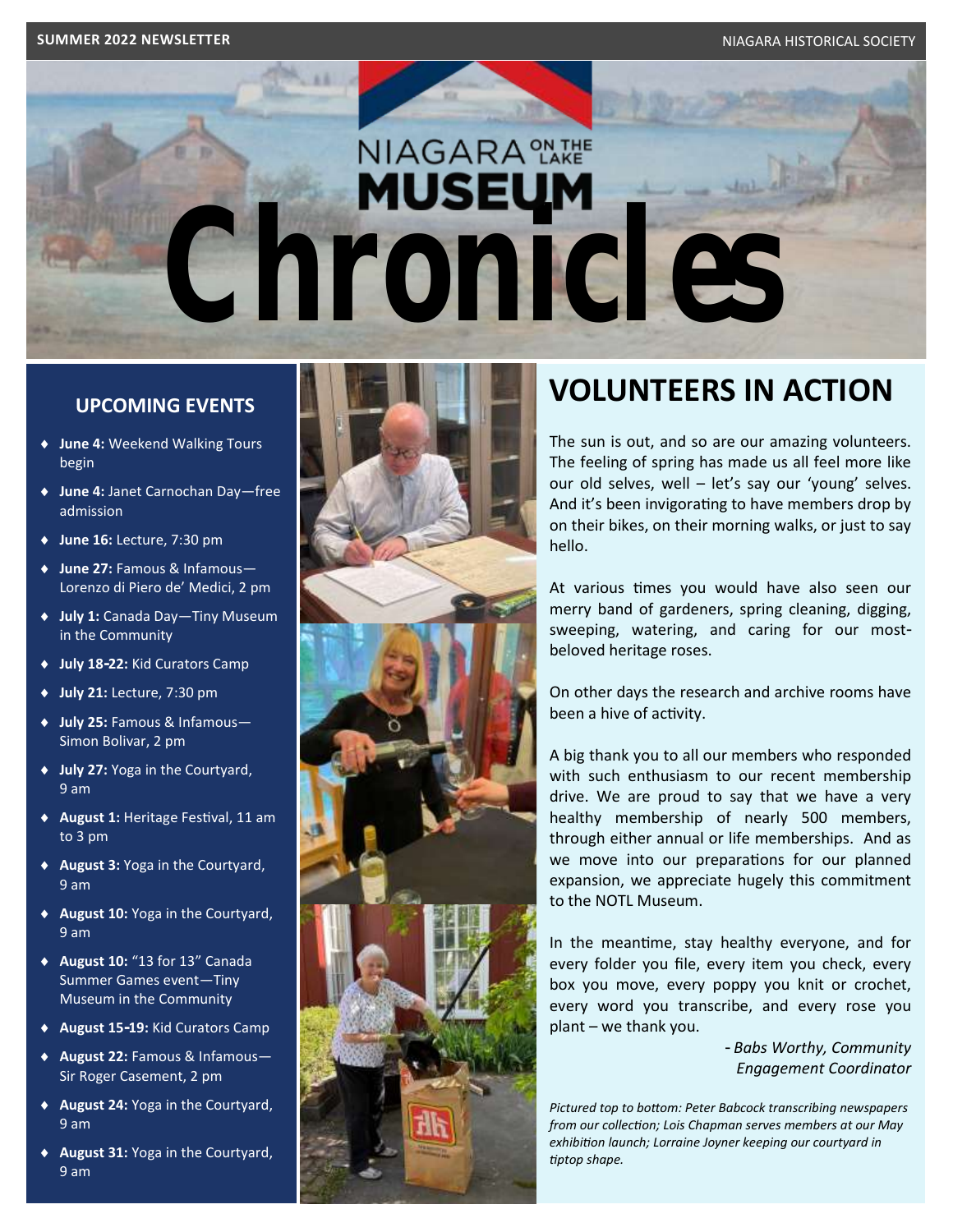# **NIAGARA** ON THE **Chronicles**

#### **UPCOMING EVENTS**

- **June 4:** Weekend Walking Tours begin
- **June 4:** Janet Carnochan Day—free admission
- **June 16:** Lecture, 7:30 pm
- **June 27:** Famous & Infamous— Lorenzo di Piero de' Medici, 2 pm
- **July 1:** Canada Day—Tiny Museum in the Community
- **July 18-22:** Kid Curators Camp
- **July 21:** Lecture, 7:30 pm
- **July 25:** Famous & Infamous— Simon Bolivar, 2 pm
- **July 27:** Yoga in the Courtyard, 9 am
- **August 1:** Heritage Festival, 11 am to 3 pm
- **August 3:** Yoga in the Courtyard, 9 am
- **August 10:** Yoga in the Courtyard, 9 am
- **August 10:** "13 for 13" Canada Summer Games event—Tiny Museum in the Community
- **August 15-19:** Kid Curators Camp
- **August 22:** Famous & Infamous— Sir Roger Casement, 2 pm
- **August 24:** Yoga in the Courtyard, 9 am
- **August 31:** Yoga in the Courtyard, 9 am



## **VOLUNTEERS IN ACTION**

The sun is out, and so are our amazing volunteers. The feeling of spring has made us all feel more like our old selves, well – let's say our 'young' selves. And it's been invigorating to have members drop by on their bikes, on their morning walks, or just to say hello.

At various times you would have also seen our merry band of gardeners, spring cleaning, digging, sweeping, watering, and caring for our mostbeloved heritage roses.

On other days the research and archive rooms have been a hive of activity.

A big thank you to all our members who responded with such enthusiasm to our recent membership drive. We are proud to say that we have a very healthy membership of nearly 500 members, through either annual or life memberships. And as we move into our preparations for our planned expansion, we appreciate hugely this commitment to the NOTL Museum.

In the meantime, stay healthy everyone, and for every folder you file, every item you check, every box you move, every poppy you knit or crochet, every word you transcribe, and every rose you plant – we thank you.

> *- Babs Worthy, Community Engagement Coordinator*

*Pictured top to bottom: Peter Babcock transcribing newspapers from our collection; Lois Chapman serves members at our May exhibition launch; Lorraine Joyner keeping our courtyard in tiptop shape.*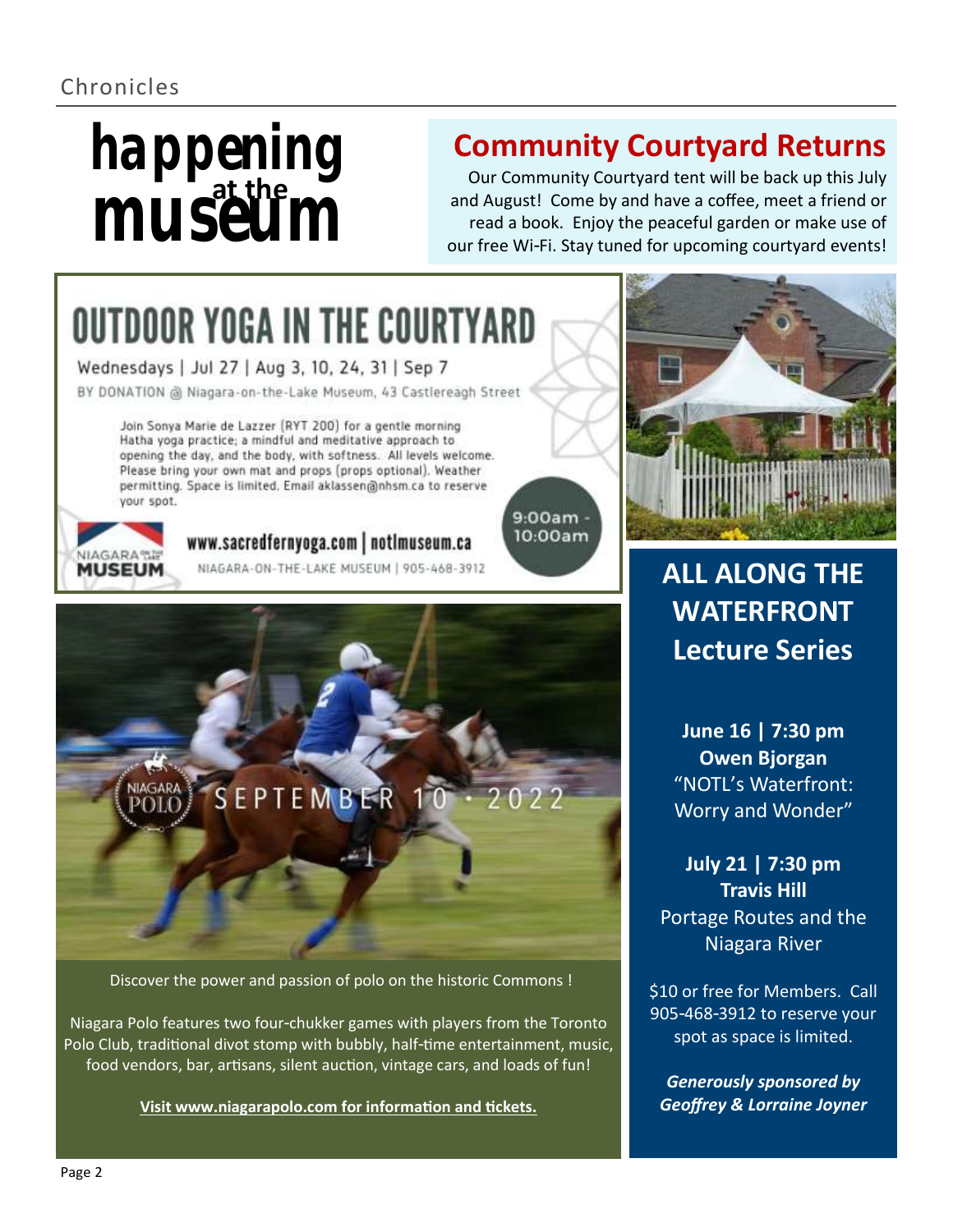### Chronicles

# museum **happening**

# **Community Courtyard Returns**

Our Community Courtyard tent will be back up this July and August! Come by and have a coffee, meet a friend or read a book. Enjoy the peaceful garden or make use of our free Wi-Fi. Stay tuned for upcoming courtyard events!

> $9:00am$ 10:00am

# **OUTDOOR YOGA IN THE COURTYARD**

Wednesdays | Jul 27 | Aug 3, 10, 24, 31 | Sep 7

BY DONATION @ Niagara-on-the-Lake Museum, 43 Castlereagh Street

Join Sonya Marie de Lazzer (RYT 200) for a gentle morning Hatha yoga practice; a mindful and meditative approach to opening the day, and the body, with softness. All levels welcome. Please bring your own mat and props (props optional). Weather permitting. Space is limited. Email aklassen@nhsm.ca to reserve your spot.



#### www.sacredfernyoga.com | notimuseum.ca

NIAGARA-ON-THE-LAKE MUSEUM | 905-468-3912



Discover the power and passion of polo on the historic Commons !

Niagara Polo features two four-chukker games with players from the Toronto Polo Club, traditional divot stomp with bubbly, half-time entertainment, music, food vendors, bar, artisans, silent auction, vintage cars, and loads of fun!

**[Visit www.niagarapolo.com for information and tickets.](http://www.niagarapolo.com)**



# **ALL ALONG THE WATERFRONT Lecture Series**

**June 16 | 7:30 pm Owen Bjorgan** "NOTL's Waterfront: Worry and Wonder"

**July 21 | 7:30 pm Travis Hill** Portage Routes and the Niagara River

\$10 or free for Members. Call 905-468-3912 to reserve your spot as space is limited.

*Generously sponsored by Geoffrey & Lorraine Joyner*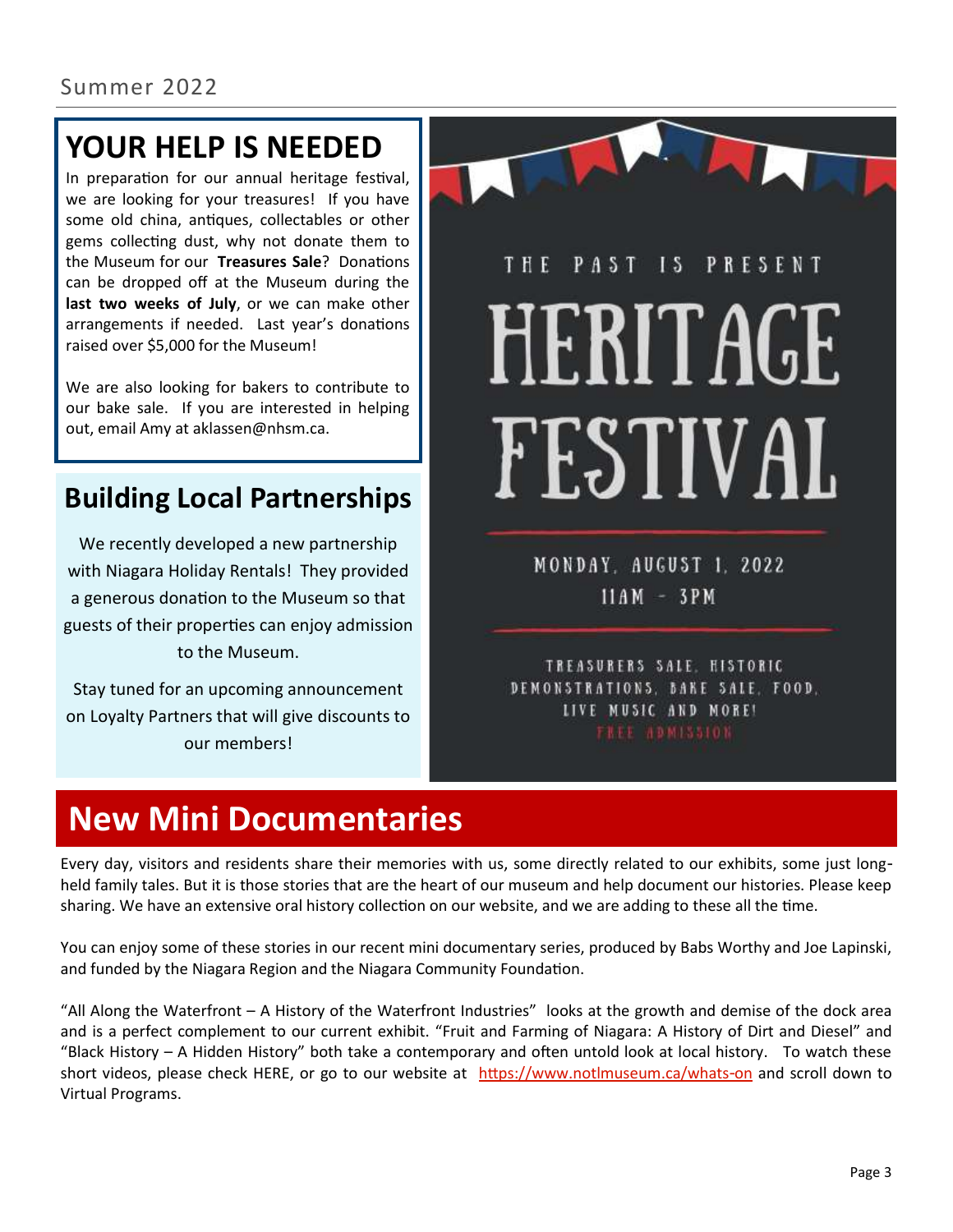# **YOUR HELP IS NEEDED**

In preparation for our annual heritage festival, we are looking for your treasures! If you have some old china, antiques, collectables or other gems collecting dust, why not donate them to the Museum for our **Treasures Sale**? Donations can be dropped off at the Museum during the **last two weeks of July**, or we can make other arrangements if needed. Last year's donations raised over \$5,000 for the Museum!

We are also looking for bakers to contribute to our bake sale. If you are interested in helping out, email Amy at aklassen@nhsm.ca.

## **Building Local Partnerships**

We recently developed a new partnership with Niagara Holiday Rentals! They provided a generous donation to the Museum so that guests of their properties can enjoy admission to the Museum.

Stay tuned for an upcoming announcement on Loyalty Partners that will give discounts to our members!



MONDAY, AUGUST 1, 2022  $11AM - 3PM$ 

TREASURERS SALE, HISTORIC DEMONSTRATIONS, BAKE SALE, FOOD, LIVE MUSIC AND MORE!

# **New Mini Documentaries**

Every day, visitors and residents share their memories with us, some directly related to our exhibits, some just longheld family tales. But it is those stories that are the heart of our museum and help document our histories. Please keep sharing. We have an extensive oral history collection on our website, and we are adding to these all the time.

You can enjoy some of these stories in our recent mini documentary series, produced by Babs Worthy and Joe Lapinski, and funded by the Niagara Region and the Niagara Community Foundation.

"All Along the Waterfront – A History of the Waterfront Industries" looks at the growth and demise of the dock area and is a perfect complement to our current exhibit. "Fruit and Farming of Niagara: A History of Dirt and Diesel" and "Black History – A Hidden History" both take a contemporary and often untold look at local history. To watch these short videos, please check HERE, or go to our website at <https://www.notlmuseum.ca/whats-on> and scroll down to Virtual Programs.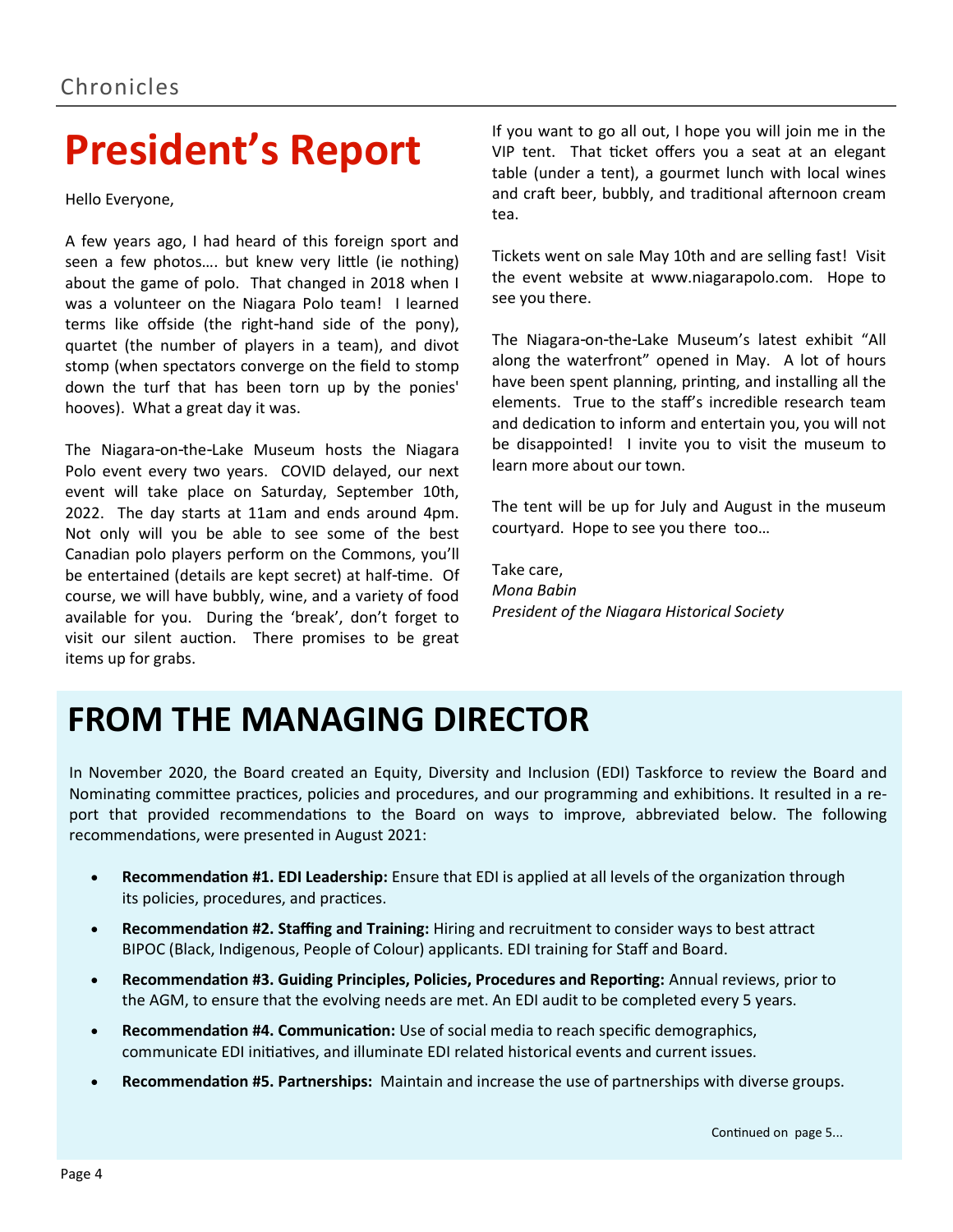# **President's Report**

Hello Everyone,

A few years ago, I had heard of this foreign sport and seen a few photos…. but knew very little (ie nothing) about the game of polo. That changed in 2018 when I was a volunteer on the Niagara Polo team! I learned terms like offside (the right-hand side of the pony), quartet (the number of players in a team), and divot stomp (when spectators converge on the field to stomp down the turf that has been torn up by the ponies' hooves). What a great day it was.

The Niagara-on-the-Lake Museum hosts the Niagara Polo event every two years. COVID delayed, our next event will take place on Saturday, September 10th, 2022. The day starts at 11am and ends around 4pm. Not only will you be able to see some of the best Canadian polo players perform on the Commons, you'll be entertained (details are kept secret) at half-time. Of course, we will have bubbly, wine, and a variety of food available for you. During the 'break', don't forget to visit our silent auction. There promises to be great items up for grabs.

If you want to go all out, I hope you will join me in the VIP tent. That ticket offers you a seat at an elegant table (under a tent), a gourmet lunch with local wines and craft beer, bubbly, and traditional afternoon cream tea.

Tickets went on sale May 10th and are selling fast! Visit the event website at www.niagarapolo.com. Hope to see you there.

The Niagara-on-the-Lake Museum's latest exhibit "All along the waterfront" opened in May. A lot of hours have been spent planning, printing, and installing all the elements. True to the staff's incredible research team and dedication to inform and entertain you, you will not be disappointed! I invite you to visit the museum to learn more about our town.

The tent will be up for July and August in the museum courtyard. Hope to see you there too…

Take care, *Mona Babin President of the Niagara Historical Society*

# **FROM THE MANAGING DIRECTOR**

In November 2020, the Board created an Equity, Diversity and Inclusion (EDI) Taskforce to review the Board and Nominating committee practices, policies and procedures, and our programming and exhibitions. It resulted in a report that provided recommendations to the Board on ways to improve, abbreviated below. The following recommendations, were presented in August 2021:

- **Recommendation #1. EDI Leadership:** Ensure that EDI is applied at all levels of the organization through its policies, procedures, and practices.
- **Recommendation #2. Staffing and Training:** Hiring and recruitment to consider ways to best attract BIPOC (Black, Indigenous, People of Colour) applicants. EDI training for Staff and Board.
- **Recommendation #3. Guiding Principles, Policies, Procedures and Reporting:** Annual reviews, prior to the AGM, to ensure that the evolving needs are met. An EDI audit to be completed every 5 years.
- **Recommendation #4. Communication:** Use of social media to reach specific demographics, communicate EDI initiatives, and illuminate EDI related historical events and current issues.
- **Recommendation #5. Partnerships:** Maintain and increase the use of partnerships with diverse groups.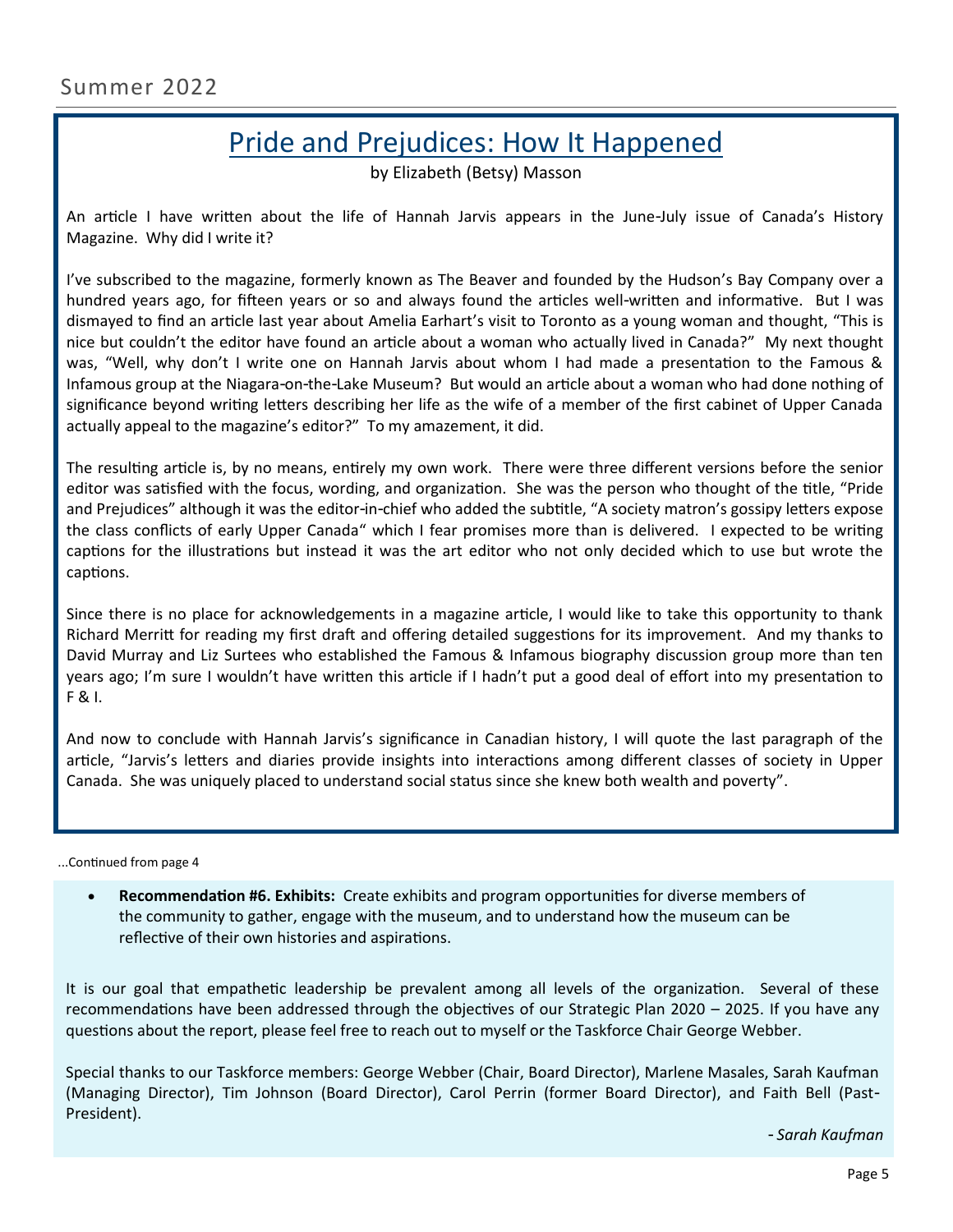## Pride and Prejudices: How It Happened

by Elizabeth (Betsy) Masson

An article I have written about the life of Hannah Jarvis appears in the June-July issue of Canada's History Magazine. Why did I write it?

I've subscribed to the magazine, formerly known as The Beaver and founded by the Hudson's Bay Company over a hundred years ago, for fifteen years or so and always found the articles well-written and informative. But I was dismayed to find an article last year about Amelia Earhart's visit to Toronto as a young woman and thought, "This is nice but couldn't the editor have found an article about a woman who actually lived in Canada?" My next thought was, "Well, why don't I write one on Hannah Jarvis about whom I had made a presentation to the Famous & Infamous group at the Niagara-on-the-Lake Museum? But would an article about a woman who had done nothing of significance beyond writing letters describing her life as the wife of a member of the first cabinet of Upper Canada actually appeal to the magazine's editor?" To my amazement, it did.

The resulting article is, by no means, entirely my own work. There were three different versions before the senior editor was satisfied with the focus, wording, and organization. She was the person who thought of the title, "Pride and Prejudices" although it was the editor-in-chief who added the subtitle, "A society matron's gossipy letters expose the class conflicts of early Upper Canada" which I fear promises more than is delivered. I expected to be writing captions for the illustrations but instead it was the art editor who not only decided which to use but wrote the captions.

Since there is no place for acknowledgements in a magazine article, I would like to take this opportunity to thank Richard Merritt for reading my first draft and offering detailed suggestions for its improvement. And my thanks to David Murray and Liz Surtees who established the Famous & Infamous biography discussion group more than ten years ago; I'm sure I wouldn't have written this article if I hadn't put a good deal of effort into my presentation to F & I.

And now to conclude with Hannah Jarvis's significance in Canadian history, I will quote the last paragraph of the article, "Jarvis's letters and diaries provide insights into interactions among different classes of society in Upper Canada. She was uniquely placed to understand social status since she knew both wealth and poverty".

...Continued from page 4

• **Recommendation #6. Exhibits:** Create exhibits and program opportunities for diverse members of the community to gather, engage with the museum, and to understand how the museum can be reflective of their own histories and aspirations.

It is our goal that empathetic leadership be prevalent among all levels of the organization. Several of these recommendations have been addressed through the objectives of our Strategic Plan 2020 – 2025. If you have any questions about the report, please feel free to reach out to myself or the Taskforce Chair George Webber.

Special thanks to our Taskforce members: George Webber (Chair, Board Director), Marlene Masales, Sarah Kaufman (Managing Director), Tim Johnson (Board Director), Carol Perrin (former Board Director), and Faith Bell (Past-President).

*- Sarah Kaufman*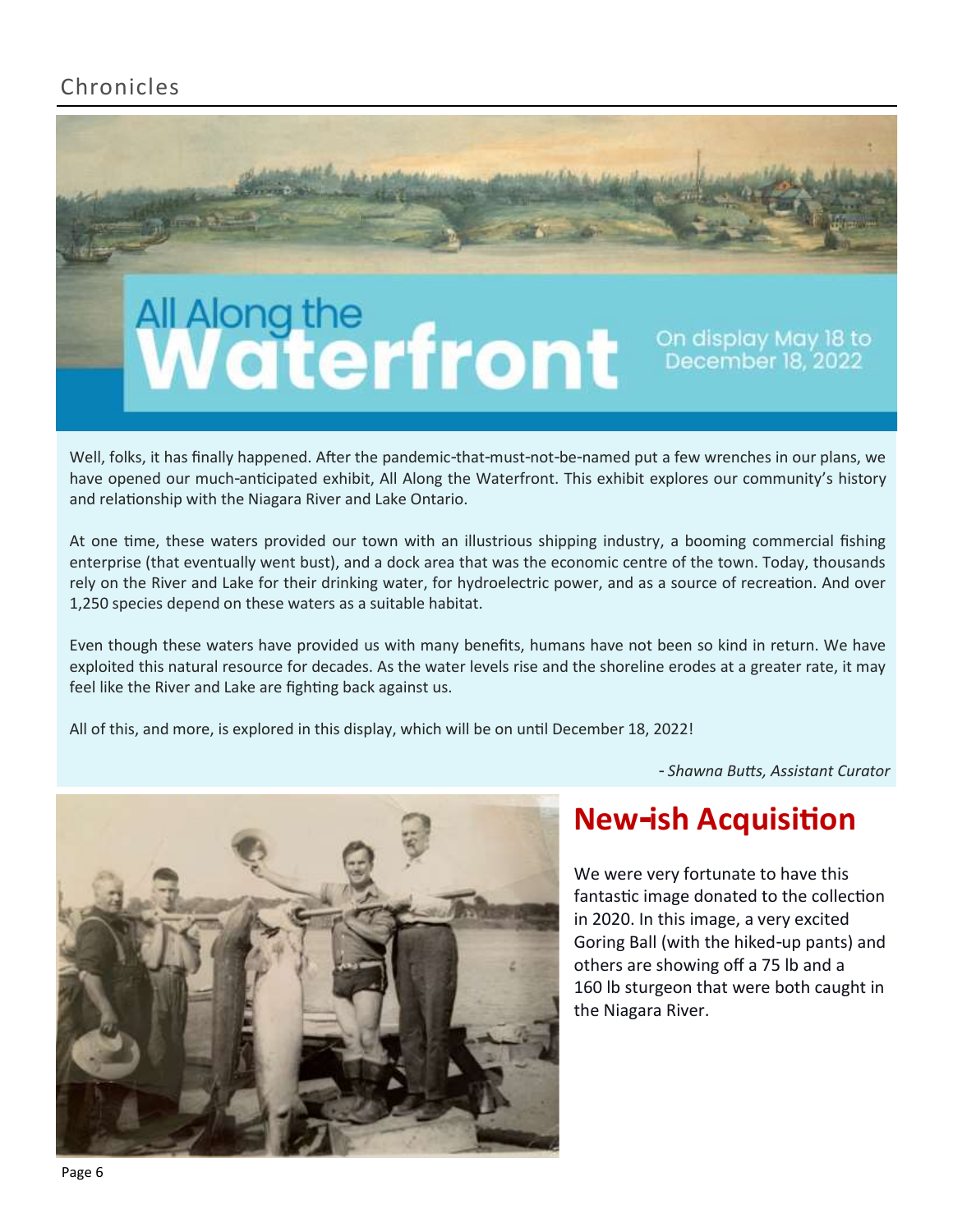### Chronicles

# All Along the<br>Waterfront

On display May 18 to<br>December 18, 2022

Well, folks, it has finally happened. After the pandemic-that-must-not-be-named put a few wrenches in our plans, we have opened our much-anticipated exhibit, All Along the Waterfront. This exhibit explores our community's history and relationship with the Niagara River and Lake Ontario.

At one time, these waters provided our town with an illustrious shipping industry, a booming commercial fishing enterprise (that eventually went bust), and a dock area that was the economic centre of the town. Today, thousands rely on the River and Lake for their drinking water, for hydroelectric power, and as a source of recreation. And over 1,250 species depend on these waters as a suitable habitat.

Even though these waters have provided us with many benefits, humans have not been so kind in return. We have exploited this natural resource for decades. As the water levels rise and the shoreline erodes at a greater rate, it may feel like the River and Lake are fighting back against us.

All of this, and more, is explored in this display, which will be on until December 18, 2022!

*- Shawna Butts, Assistant Curator*



## **New-ish Acquisition**

We were very fortunate to have this fantastic image donated to the collection in 2020. In this image, a very excited Goring Ball (with the hiked-up pants) and others are showing off a 75 lb and a 160 lb sturgeon that were both caught in the Niagara River.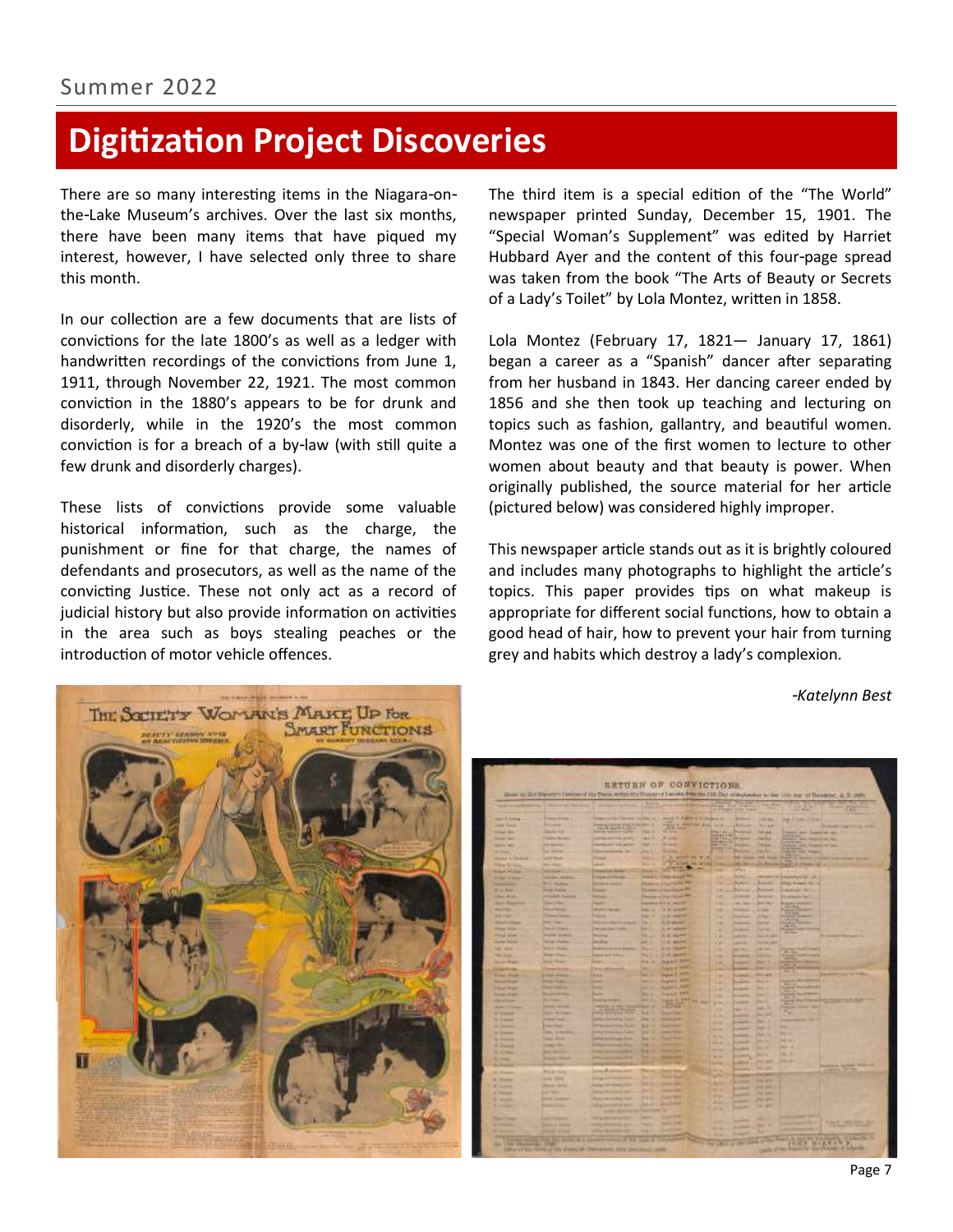# **Digitization Project Discoveries**

There are so many interesting items in the Niagara-onthe-Lake Museum's archives. Over the last six months, there have been many items that have piqued my interest, however, I have selected only three to share this month.

In our collection are a few documents that are lists of convictions for the late 1800's as well as a ledger with handwritten recordings of the convictions from June 1, 1911, through November 22, 1921. The most common conviction in the 1880's appears to be for drunk and disorderly, while in the 1920's the most common conviction is for a breach of a by-law (with still quite a few drunk and disorderly charges).

These lists of convictions provide some valuable historical information, such as the charge, the punishment or fine for that charge, the names of defendants and prosecutors, as well as the name of the convicting Justice. These not only act as a record of judicial history but also provide information on activities in the area such as boys stealing peaches or the introduction of motor vehicle offences.

The third item is a special edition of the "The World" newspaper printed Sunday, December 15, 1901. The "Special Woman's Supplement" was edited by Harriet Hubbard Ayer and the content of this four-page spread was taken from the book "The Arts of Beauty or Secrets of a Lady's Toilet" by Lola Montez, written in 1858.

Lola Montez (February 17, 1821— January 17, 1861) began a career as a "Spanish" dancer after separating from her husband in 1843. Her dancing career ended by 1856 and she then took up teaching and lecturing on topics such as fashion, gallantry, and beautiful women. Montez was one of the first women to lecture to other women about beauty and that beauty is power. When originally published, the source material for her article (pictured below) was considered highly improper.

This newspaper article stands out as it is brightly coloured and includes many photographs to highlight the article's topics. This paper provides tips on what makeup is appropriate for different social functions, how to obtain a good head of hair, how to prevent your hair from turning grey and habits which destroy a lady's complexion.

*-Katelynn Best*



|                                                 | make as the Majoreta Families of the Point entity of a strip of Limited Patricks (20) the critiquence on the 11th may of Revenue, at 31 years |                                                    |                                 | <b>SETURN OF CONVICTIONS.</b>                   |                                        |                                    |                                                                                                |                                                                                                                                                                                                                                      |                                              |
|-------------------------------------------------|-----------------------------------------------------------------------------------------------------------------------------------------------|----------------------------------------------------|---------------------------------|-------------------------------------------------|----------------------------------------|------------------------------------|------------------------------------------------------------------------------------------------|--------------------------------------------------------------------------------------------------------------------------------------------------------------------------------------------------------------------------------------|----------------------------------------------|
|                                                 |                                                                                                                                               |                                                    | <b>MINTER</b>                   |                                                 |                                        |                                    |                                                                                                |                                                                                                                                                                                                                                      |                                              |
|                                                 | to an another work is that who has been                                                                                                       |                                                    |                                 |                                                 | <b>Transport</b>                       | <b>Common</b>                      | <b>Lue Man</b>                                                                                 | <b>Links</b>                                                                                                                                                                                                                         | <b>COL</b>                                   |
| <b>SALE &amp; Long &amp;</b>                    | <b>Commercial Contract</b>                                                                                                                    | Impound in Tennel Common at                        |                                 | moved 10. August 12. It is the process          |                                        | <b>STATISTICS</b>                  | 144.444                                                                                        | <b>Sept Edgeworth</b><br>-                                                                                                                                                                                                           |                                              |
| <b><i>CAR Dents</i></b>                         | <b>MARGAL</b>                                                                                                                                 | <b>Phone of Asia and Install</b>                   |                                 | <b>Painter &amp; Street</b><br><b>THE Books</b> | <b>Wind</b>                            | <b>Financial</b>                   | <b>Tel: brd</b>                                                                                |                                                                                                                                                                                                                                      |                                              |
| <b>The Second Series</b>                        | <b>Dealer Ser</b>                                                                                                                             | <b>Jack Bernston</b><br>accords fold their quicks. | --                              | 28                                              | <b>The Fire</b>                        | ,,,,,,                             | 14.44                                                                                          | and Assessed and<br><b>Grande</b>                                                                                                                                                                                                    |                                              |
| <b><i><u>START AND</u></i></b>                  | <b>Teams Mindex</b>                                                                                                                           | <b>CONTRACTOR GOVERN</b>                           | -                               | <b>MAG</b>                                      | 며리                                     | -                                  | mine                                                                                           | <b>WARRY BANK PRODUCTS AND</b>                                                                                                                                                                                                       |                                              |
| <b>SCALE AND</b>                                | <b>THE REAL PROPERTY</b>                                                                                                                      | <b>Countries Silvering and the</b>                 | <b>Tall 1</b>                   | <b>Brand</b>                                    | m.                                     | <b>William</b>                     | <b>Holland</b>                                                                                 | <b>CONTRACTOR</b><br>and Francisco State<br><b>Visit</b>                                                                                                                                                                             |                                              |
| <b>Sir Paint</b>                                | <b>California</b>                                                                                                                             | <b>Concert And Associate State</b>                 | <b>AALA</b>                     | <b>ALLING</b>                                   | m                                      | <b><i><u>Parkists</u></i></b>      | <b>HEAR</b>                                                                                    | <b>CARL CARD CARDS</b>                                                                                                                                                                                                               |                                              |
| <b>Bread &amp; Dentist</b>                      | <b>Carlo Avenue</b>                                                                                                                           | -                                                  | <b>Septi</b>                    | <b>B. Miller and W. Let</b>                     | œ                                      | <b>THE SHARE</b>                   | <b>COLL Street</b>                                                                             | <b>PRETTI</b><br><b>Science</b><br>an a<br><b>Right</b>                                                                                                                                                                              |                                              |
| <b><i><u>State Street</u></i></b>               | <b><i><u>STATISTICS</u></i></b>                                                                                                               | -                                                  | m                               | Marine Ser at                                   |                                        | <b>WALES</b>                       |                                                                                                |                                                                                                                                                                                                                                      |                                              |
| <b>BULK FILLS</b>                               | ---                                                                                                                                           | <b>Continent and convenies</b>                     | <b>Service</b>                  | AP <del>RI</del><br>٠                           | ٠                                      | <b>Ship</b>                        |                                                                                                |                                                                                                                                                                                                                                      |                                              |
| <b>CONFIDENCE</b>                               | <b>SERVICE AND REAL</b>                                                                                                                       | <b><i>Education Institute Add-</i></b>             | <b>Provide</b>                  | THE REAL PROPERTY.                              | ٠                                      | <b>Service</b>                     | <b>STATISTICS</b>                                                                              | of American City, of                                                                                                                                                                                                                 |                                              |
| <b>The American</b>                             | <b>Bill Scotland</b>                                                                                                                          | <b>Provide all constraint</b>                      | <b>PERSONAL</b>                 | <b><i>Printed States Sea</i></b>                | ٠                                      | <b>Science</b>                     | <b>Biometer</b>                                                                                | <b>Direct Disease For</b>                                                                                                                                                                                                            |                                              |
| <b>Wild Mark</b>                                | <b>WIRE ENGINE</b>                                                                                                                            | <b>Standard</b>                                    |                                 | <b>TANKING AT THE EXECUTIVE</b>                 | $\overline{\phantom{a}}$               | <b>Stationary</b>                  | <b>Normal</b>                                                                                  | moltoge, Vel.                                                                                                                                                                                                                        |                                              |
| <b>Charles Card</b>                             | Actualis & Academick                                                                                                                          | <b>Scotting</b>                                    |                                 | Please a true form 44                           |                                        | <b>William</b>                     | -                                                                                              | <b>Completion Control</b>                                                                                                                                                                                                            |                                              |
| <b>British Branch</b>                           | <b>State Ford</b><br><b>The Auto House</b>                                                                                                    | <b>CONTRACTOR</b>                                  |                                 | <b>Brownwatch in month</b>                      | m                                      | <b>COLLEGE</b>                     | <b>JEW YEAR</b>                                                                                | <b>CASE OF</b>                                                                                                                                                                                                                       |                                              |
| <b>Bay Fall</b><br><b>Listens</b>               | <b>Templified</b>                                                                                                                             | <b>SCALE TO BUILDE</b><br><b>Processing</b>        | <b>Park In</b><br><b>Marine</b> | <b>Lindawa</b><br><b>Little Second</b>          | m                                      | <b>Portal</b><br><b>Stationary</b> | <b>STAR</b><br><b>ST New</b>                                                                   | <b>THE TELEVISION</b>                                                                                                                                                                                                                |                                              |
| <b>State of Concession</b>                      | <b>DOM: YES</b>                                                                                                                               | <b>PERSONAL PROPERTY</b>                           |                                 | <b>School</b>                                   | <b>The Corporation</b><br><b>START</b> | -                                  | <b>Service</b>                                                                                 | <b>PALMA</b>                                                                                                                                                                                                                         |                                              |
| <b>Simula Strate</b>                            | <b>Date of Chance</b>                                                                                                                         | <b>Contras Ligar Contra</b>                        | m                               | <b>Simpson</b>                                  | . .                                    | <b>STATISTICS</b>                  | $\frac{1}{2} \left( \frac{1}{2} \right) \left( \frac{1}{2} \right) \left( \frac{1}{2} \right)$ | <b>SALE</b><br>--                                                                                                                                                                                                                    |                                              |
| <b>House Street</b>                             | <b>District Growth</b>                                                                                                                        | <b>Standards</b>                                   | <b>HALL</b>                     | <b>A. W. Payment</b>                            | $1 -$                                  | -                                  | <b>Tour units</b> sales                                                                        | <b>START</b>                                                                                                                                                                                                                         |                                              |
| <b><i><u>SHERING</u></i></b>                    | <b>THERE IS NOW</b>                                                                                                                           | <b>House</b>                                       | --                              | of an aggrest                                   | 1.4                                    | -                                  | <b>THE RIGHT</b>                                                                               |                                                                                                                                                                                                                                      |                                              |
| <b>Information</b>                              | <b>Mark Hotel</b>                                                                                                                             | <b>Restrict in development generally</b>           | <b>The Corporation</b>          | <b>B. Mr. Stavioli</b>                          |                                        | an Ar                              | 14.93                                                                                          | <b>Printed Products</b>                                                                                                                                                                                                              |                                              |
| <b><i><u>Side Service</u></i></b>               | <b>Partie Street</b>                                                                                                                          | <b>Council &amp; il finally</b>                    | <b>Barn</b>                     | 3 At Earth                                      | 5.00                                   | <b>MILLION AND</b>                 | -                                                                                              | <b>The Contract of the Contract of the Contract of The Contract of The Contract of The Contract of The Contract of The Contract of The Contract of The Contract of The Contract of The Contract of The Contract of The Contract </b> |                                              |
| <b>Buildings</b>                                | <b>Sales Primer</b>                                                                                                                           | -                                                  | <b>Aug. 2</b>                   | <b>PUBLIC ROOM</b>                              | 11                                     | <b>Property</b>                    | $-1$                                                                                           | <b>Males (Trick Lisinger)</b>                                                                                                                                                                                                        |                                              |
| <b>CARD COMMA</b>                               | <b><i><u>Service</u></i></b>                                                                                                                  | <b>Hotel</b>                                       | w.                              | <b>Trape &amp; Mark</b>                         | 14                                     | --                                 | <b>Security</b>                                                                                | 쪽은                                                                                                                                                                                                                                   |                                              |
| <b>Wanted Street</b>                            | <b>Charles Address</b>                                                                                                                        | <b>Salesman</b>                                    | . .                             | <b>Hughas F. Willis</b>                         | <b>VW</b>                              | <b>Transport</b>                   | 2412-3878                                                                                      |                                                                                                                                                                                                                                      | actual countries within                      |
| <b>State Street</b>                             | <b>Three State</b>                                                                                                                            | <b>Planet</b>                                      | -                               | <b>Property States</b>                          | v.                                     | <b>College College</b>             | <b>Harry</b>                                                                                   | œ                                                                                                                                                                                                                                    |                                              |
| <b><i><u>Charles Brand</u></i></b>              | <b>The Common</b>                                                                                                                             | -                                                  | -                               | <b><i><u>Superintendent</u></i></b>             | -                                      | <b>STARTED</b>                     |                                                                                                | <b><i><u>SEALE FRITANIE</u></i></b>                                                                                                                                                                                                  |                                              |
| <b>Select All Ad</b>                            | <b>Thomas Roberts</b>                                                                                                                         | -                                                  | -                               | Transit Park                                    | <b>Sellen</b>                          | --                                 | -                                                                                              | Toyota Stationers                                                                                                                                                                                                                    |                                              |
| <b>STATISTICS</b>                               | <b>Birthday</b><br><b>Carolina College Ada</b>                                                                                                | <b>Scott Grand Street</b><br><b>THE RIGHT</b>      | . .<br>                         | <b>TELL IN</b><br><b>HOTAL</b>                  | <b>SCORE</b>                           |                                    | <b>Service</b>                                                                                 | <b>Track Port Forms</b><br><b>Service State</b>                                                                                                                                                                                      |                                              |
| <b>Send of Concession</b><br><b>All Process</b> | <b>Court Avenue</b>                                                                                                                           | <b>PERSONAL PRO</b><br><b>Ling Service</b><br>55   | -                               | <b><i><u>Report Follows</u></i></b>             | -                                      | <b>Service</b>                     | <b>HALL</b>                                                                                    | <b>Ford of</b><br>$\mathcal{C}_{\mathcal{A}}$                                                                                                                                                                                        |                                              |
| <b>S. Garris</b>                                | <b>Di Mastri Touch</b>                                                                                                                        | <b>Series Retraits Toron</b>                       | <b>District</b>                 | <b>ATALLARS</b>                                 | -                                      | <b>STATISTICS</b>                  | 44.95                                                                                          | <b>START</b>                                                                                                                                                                                                                         |                                              |
| <b>STERNE</b>                                   | <b><i><u>Secretary</u></i></b>                                                                                                                | <b>Rocker Garment Rock</b>                         | <b>MA 19</b>                    | --                                              | <b>COLOR</b>                           | <b>Service Ad</b>                  | m<br><b>Septim</b>                                                                             | <b>Soldiers</b>                                                                                                                                                                                                                      |                                              |
| <b>SCHOOL</b>                                   | <b>MAXIMUM</b>                                                                                                                                | <b>Affrait Edward &amp; Talent</b>                 | <b>Barrier</b>                  | <b>Constitution</b>                             | -                                      | <b>COMME</b>                       | <b>Selection</b>                                                                               | <b>TELEVISION</b>                                                                                                                                                                                                                    |                                              |
| <b>S. Station</b>                               | <b>Dealer Month</b>                                                                                                                           | <b>Antiquist Advisers</b> Ave                      |                                 | --                                              | <b>Service</b>                         | -                                  | <b>HALL</b>                                                                                    | <b>COLLEGE</b>                                                                                                                                                                                                                       |                                              |
| <b>S. Dallace</b>                               | <b>THE R</b>                                                                                                                                  | <b>STANDARD COMPANY</b>                            |                                 | ---                                             | <b>COLOR</b>                           | ---                                | 144.4                                                                                          | $-1$                                                                                                                                                                                                                                 |                                              |
| <b>Williams</b>                                 | <b>Bookers</b>                                                                                                                                | ____                                               | . .                             | <b>Contract Edge</b>                            | <b>COLLEGE</b>                         | <b>Country</b>                     | ms i                                                                                           | -                                                                                                                                                                                                                                    |                                              |
| --                                              | <b>Party Lines</b>                                                                                                                            | <b>Constitution of the American</b>                | ч                               | __                                              | <b>Service</b>                         | $-11$                              | <b>Print</b> and                                                                               | -                                                                                                                                                                                                                                    |                                              |
| --                                              |                                                                                                                                               |                                                    |                                 |                                                 | <b>Service</b>                         | <b>CARD IS</b>                     | <b>THE ARE</b>                                                                                 |                                                                                                                                                                                                                                      | <b>ATT-R</b>                                 |
| <b>St. Transact</b>                             | <b>Blood Street</b>                                                                                                                           | <b>Line Automobile</b>                             |                                 | <b>ATT FALL</b>                                 | <b>All An</b><br>$\sim$                | --                                 |                                                                                                |                                                                                                                                                                                                                                      |                                              |
| <b>K</b> Provide                                | <b>Louis Plane</b>                                                                                                                            | <b>The Commission</b>                              | m                               | <b>Service Roberts</b>                          |                                        | القادمة                            | <b>COLOR</b>                                                                                   |                                                                                                                                                                                                                                      |                                              |
| <b>E. Support</b>                               | <b>Report Follows</b>                                                                                                                         | <b>STANDARD COMPANY</b>                            | <b>DOM: N</b>                   | <b>Sept Links</b>                               | <b>Book</b><br><b>Service</b>          | --                                 | per poli                                                                                       |                                                                                                                                                                                                                                      |                                              |
| <b>A. Worker</b>                                | <b>Contractor</b>                                                                                                                             | <b>William Concerts and Concerts</b>               |                                 | $-0.00000$                                      | <b>Wind</b>                            | <b>Contract of the</b>             | -                                                                                              |                                                                                                                                                                                                                                      |                                              |
|                                                 | <b>STATE CORPORA</b>                                                                                                                          | <b>Real American Color</b>                         |                                 | <b>County Light</b>                             | <b>Braker</b>                          | -                                  | 24.41                                                                                          |                                                                                                                                                                                                                                      |                                              |
| <b>Williams</b>                                 | <b>Charles Council</b>                                                                                                                        | <b>STATISTICS</b>                                  | -                               | $-110$                                          | <b>Britt</b>                           | -                                  | <b>STATE</b>                                                                                   |                                                                                                                                                                                                                                      |                                              |
|                                                 |                                                                                                                                               | <b>SHARP MOTOR</b>                                 | -                               | --                                              |                                        |                                    |                                                                                                |                                                                                                                                                                                                                                      |                                              |
| <b>Service Control</b>                          | <b>Secretary and</b>                                                                                                                          | <b>PERSONAL PROPERTY</b>                           | -                               | <b>STATISTICS</b>                               | -                                      | $-111$                             | ٠                                                                                              | or in the local date.                                                                                                                                                                                                                | <b><i><u>Property Lights Streets</u></i></b> |
| <b>W. Strandar</b><br><b>B</b> South            | <b>CARL &amp; BARR</b>                                                                                                                        | <b>START AND ARTISTS</b>                           | -                               | <b>Seattle Profit</b>                           | -                                      | -                                  | $\sim$                                                                                         |                                                                                                                                                                                                                                      |                                              |
|                                                 | <b>Dealer Golden</b>                                                                                                                          | <b>Physical Contract Contract</b>                  |                                 |                                                 |                                        | <b>STATISTICS</b>                  | w                                                                                              |                                                                                                                                                                                                                                      |                                              |
|                                                 |                                                                                                                                               |                                                    |                                 |                                                 | <b>Print</b>                           |                                    |                                                                                                |                                                                                                                                                                                                                                      | THEY WEEFING                                 |